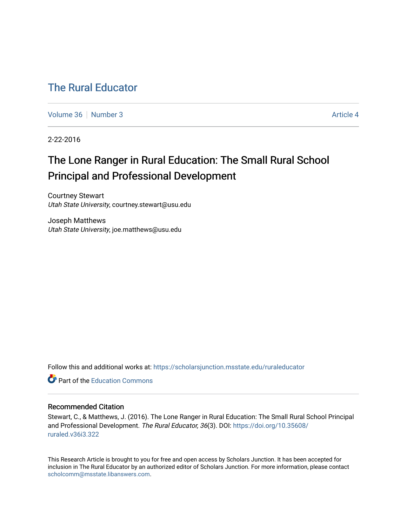# [The Rural Educator](https://scholarsjunction.msstate.edu/ruraleducator)

[Volume 36](https://scholarsjunction.msstate.edu/ruraleducator/vol36) [Number 3](https://scholarsjunction.msstate.edu/ruraleducator/vol36/iss3) Article 4

2-22-2016

# The Lone Ranger in Rural Education: The Small Rural School Principal and Professional Development

Courtney Stewart Utah State University, courtney.stewart@usu.edu

Joseph Matthews Utah State University, joe.matthews@usu.edu

Follow this and additional works at: [https://scholarsjunction.msstate.edu/ruraleducator](https://scholarsjunction.msstate.edu/ruraleducator?utm_source=scholarsjunction.msstate.edu%2Fruraleducator%2Fvol36%2Fiss3%2F4&utm_medium=PDF&utm_campaign=PDFCoverPages)

**C** Part of the [Education Commons](http://network.bepress.com/hgg/discipline/784?utm_source=scholarsjunction.msstate.edu%2Fruraleducator%2Fvol36%2Fiss3%2F4&utm_medium=PDF&utm_campaign=PDFCoverPages)

### Recommended Citation

Stewart, C., & Matthews, J. (2016). The Lone Ranger in Rural Education: The Small Rural School Principal and Professional Development. The Rural Educator, 36(3). DOI: [https://doi.org/10.35608/](https://doi.org/10.35608/ruraled.v36i3.322) [ruraled.v36i3.322](https://doi.org/10.35608/ruraled.v36i3.322)

This Research Article is brought to you for free and open access by Scholars Junction. It has been accepted for inclusion in The Rural Educator by an authorized editor of Scholars Junction. For more information, please contact [scholcomm@msstate.libanswers.com.](mailto:scholcomm@msstate.libanswers.com)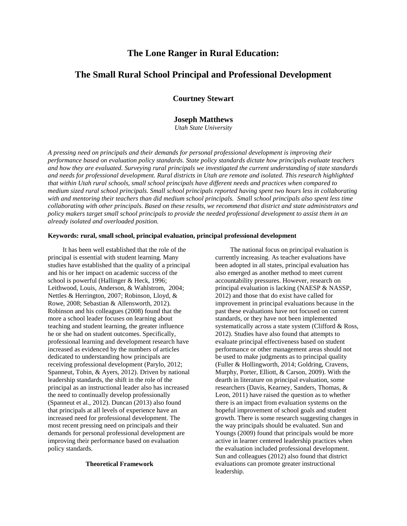## **The Lone Ranger in Rural Education:**

## **The Small Rural School Principal and Professional Development**

**Courtney Stewart**

### **Joseph Matthews**

*Utah State University*

*A pressing need on principals and their demands for personal professional development is improving their performance based on evaluation policy standards. State policy standards dictate how principals evaluate teachers and how they are evaluated. Surveying rural principals we investigated the current understanding of state standards and needs for professional development. Rural districts in Utah are remote and isolated. This research highlighted that within Utah rural schools, small school principals have different needs and practices when compared to medium sized rural school principals. Small school principals reported having spent two hours less in collaborating with and mentoring their teachers than did medium school principals. Small school principals also spent less time collaborating with other principals. Based on these results, we recommend that district and state administrators and policy makers target small school principals to provide the needed professional development to assist them in an already isolated and overloaded position.*

#### **Keywords: rural, small school, principal evaluation, principal professional development**

It has been well established that the role of the principal is essential with student learning. Many studies have established that the quality of a principal and his or her impact on academic success of the school is powerful [\(Hallinger & Heck, 1996;](file:///C:/Users/Shane/Desktop/Rural%20Ed%20Stewart%202015%20-%20Copy(1).docx%23_ENREF_10) [Leithwood, Louis, Anderson, & Wahlstrom, 2004;](file:///C:/Users/Shane/Desktop/Rural%20Ed%20Stewart%202015%20-%20Copy(1).docx%23_ENREF_11) [Nettles & Herrington, 2007;](file:///C:/Users/Shane/Desktop/Rural%20Ed%20Stewart%202015%20-%20Copy(1).docx%23_ENREF_14) [Robinson, Lloyd, &](file:///C:/Users/Shane/Desktop/Rural%20Ed%20Stewart%202015%20-%20Copy(1).docx%23_ENREF_18)  [Rowe, 2008;](file:///C:/Users/Shane/Desktop/Rural%20Ed%20Stewart%202015%20-%20Copy(1).docx%23_ENREF_18) [Sebastian & Allensworth, 2012\)](file:///C:/Users/Shane/Desktop/Rural%20Ed%20Stewart%202015%20-%20Copy(1).docx%23_ENREF_19). Robinson and his colleagues (2008) found that the more a school leader focuses on learning about teaching and student learning, the greater influence he or she had on student outcomes. Specifically, professional learning and development research have increased as evidenced by the numbers of articles dedicated to understanding how principals are receiving professional development [\(Parylo, 2012;](file:///C:/Users/Shane/Desktop/Rural%20Ed%20Stewart%202015%20-%20Copy(1).docx%23_ENREF_15) Spanneut, Tobin, & Ayers, 2012). Driven by national leadership standards, the shift in the role of the principal as an instructional leader also has increased the need to continually develop professionally (Spanneut et al., 2012). Duncan [\(2013\)](file:///C:/Users/Shane/Desktop/Rural%20Ed%20Stewart%202015%20-%20Copy(1).docx%23_ENREF_6) also found that principals at all levels of experience have an increased need for professional development. The most recent pressing need on principals and their demands for personal professional development are improving their performance based on evaluation policy standards.

### **Theoretical Framework**

The national focus on principal evaluation is currently increasing. As teacher evaluations have been adopted in all states, principal evaluation has also emerged as another method to meet current accountability pressures. However, research on principal evaluation is lacking [\(NAESP & NASSP,](file:///C:/Users/Shane/Desktop/Rural%20Ed%20Stewart%202015%20-%20Copy(1).docx%23_ENREF_13)  [2012\)](file:///C:/Users/Shane/Desktop/Rural%20Ed%20Stewart%202015%20-%20Copy(1).docx%23_ENREF_13) and those that do exist have called for improvement in principal evaluations because in the past these evaluations have not focused on current standards, or they have not been implemented systematically across a state system [\(Clifford & Ross,](file:///C:/Users/Shane/Desktop/Rural%20Ed%20Stewart%202015%20-%20Copy(1).docx%23_ENREF_4)  [2012\)](file:///C:/Users/Shane/Desktop/Rural%20Ed%20Stewart%202015%20-%20Copy(1).docx%23_ENREF_4). Studies have also found that attempts to evaluate principal effectiveness based on student performance or other management areas should not be used to make judgments as to principal quality [\(Fuller & Hollingworth, 2014;](file:///C:/Users/Shane/Desktop/Rural%20Ed%20Stewart%202015%20-%20Copy(1).docx%23_ENREF_8) [Goldring, Cravens,](file:///C:/Users/Shane/Desktop/Rural%20Ed%20Stewart%202015%20-%20Copy(1).docx%23_ENREF_9)  [Murphy, Porter, Elliott, & Carson, 2009\)](file:///C:/Users/Shane/Desktop/Rural%20Ed%20Stewart%202015%20-%20Copy(1).docx%23_ENREF_9). With the dearth in literature on principal evaluation, some researchers [\(Davis, Kearney, Sanders, Thomas, &](file:///C:/Users/Shane/Desktop/Rural%20Ed%20Stewart%202015%20-%20Copy(1).docx%23_ENREF_5)  [Leon, 2011\)](file:///C:/Users/Shane/Desktop/Rural%20Ed%20Stewart%202015%20-%20Copy(1).docx%23_ENREF_5) have raised the question as to whether there is an impact from evaluation systems on the hopeful improvement of school goals and student growth. There is some research suggesting changes in the way principals should be evaluated. Sun and Youngs [\(2009\)](file:///C:/Users/Shane/Desktop/Rural%20Ed%20Stewart%202015%20-%20Copy(1).docx%23_ENREF_22) found that principals would be more active in learner centered leadership practices when the evaluation included professional development. Sun and colleagues [\(2012\)](file:///C:/Users/Shane/Desktop/Rural%20Ed%20Stewart%202015%20-%20Copy(1).docx%23_ENREF_23) also found that district evaluations can promote greater instructional leadership.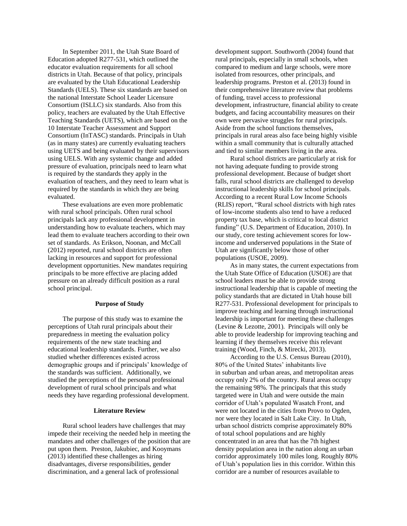In September 2011, the Utah State Board of Education adopted R277-531, which outlined the educator evaluation requirements for all school districts in Utah. Because of that policy, principals are evaluated by the Utah Educational Leadership Standards (UELS). These six standards are based on the national Interstate School Leader Licensure Consortium (ISLLC) six standards. Also from this policy, teachers are evaluated by the Utah Effective Teaching Standards (UETS), which are based on the 10 Interstate Teacher Assessment and Support Consortium (InTASC) standards. Principals in Utah (as in many states) are currently evaluating teachers using UETS and being evaluated by their supervisors using UELS. With any systemic change and added pressure of evaluation, principals need to learn what is required by the standards they apply in the evaluation of teachers, and they need to learn what is required by the standards in which they are being evaluated.

These evaluations are even more problematic with rural school principals. Often rural school principals lack any professional development in understanding how to evaluate teachers, which may lead them to evaluate teachers according to their own set of standards. As Erikson, Noonan, and McCall (2012) reported, rural school districts are often lacking in resources and support for professional development opportunities. New mandates requiring principals to be more effective are placing added pressure on an already difficult position as a rural school principal.

#### **Purpose of Study**

The purpose of this study was to examine the perceptions of Utah rural principals about their preparedness in meeting the evaluation policy requirements of the new state teaching and educational leadership standards. Further, we also studied whether differences existed across demographic groups and if principals' knowledge of the standards was sufficient. Additionally, we studied the perceptions of the personal professional development of rural school principals and what needs they have regarding professional development.

#### **Literature Review**

Rural school leaders have challenges that may impede their receiving the needed help in meeting the mandates and other challenges of the position that are put upon them. Preston, Jakubiec, and Kooymans [\(2013\)](file:///C:/Users/Shane/Desktop/Rural%20Ed%20Stewart%202015%20-%20Copy(1).docx%23_ENREF_17) identified these challenges as hiring disadvantages, diverse responsibilities, gender discrimination, and a general lack of professional

development support. [Southworth \(2004\)](file:///C:/Users/Shane/Desktop/Rural%20Ed%20Stewart%202015%20-%20Copy(1).docx%23_ENREF_20) found that rural principals, especially in small schools, when compared to medium and large schools, were more isolated from resources, other principals, and leadership programs. Preston et al. (2013) found in their comprehensive literature review that problems of funding, travel access to professional development, infrastructure, financial ability to create budgets, and facing accountability measures on their own were pervasive struggles for rural principals. Aside from the school functions themselves, principals in rural areas also face being highly visible within a small community that is culturally attached and tied to similar members living in the area.

Rural school districts are particularly at risk for not having adequate funding to provide strong professional development. Because of budget short falls, rural school districts are challenged to develop instructional leadership skills for school principals. According to a recent Rural Low Income Schools (RLIS) report, "Rural school districts with high rates of low-income students also tend to have a reduced property tax base, which is critical to local district funding" (U.S. Department of Education[, 2010\)](file:///C:/Users/Shane/Desktop/Rural%20Ed%20Stewart%202015%20-%20Copy(1).docx%23_ENREF_7). In our study, core testing achievement scores for lowincome and underserved populations in the State of Utah are significantly below those of other populations (USOE, 2009).

As in many states, the current expectations from the Utah State Office of Education (USOE) are that school leaders must be able to provide strong instructional leadership that is capable of meeting the policy standards that are dictated in Utah house bill R277-531. Professional development for principals to improve teaching and learning through instructional leadership is important for meeting these challenges [\(Levine & Lezotte, 2001\)](file:///C:/Users/Shane/Desktop/Rural%20Ed%20Stewart%202015%20-%20Copy(1).docx%23_ENREF_12). Principals will only be able to provide leadership for improving teaching and learning if they themselves receive this relevant training [\(Wood, Finch, & Mirecki, 2013\)](file:///C:/Users/Shane/Desktop/Rural%20Ed%20Stewart%202015%20-%20Copy(1).docx%23_ENREF_25).

According to the U.S. Census Bureau (2010), 80% of the United States' inhabitants live in suburban and urban areas, and metropolitan areas occupy only 2% of the country. Rural areas occupy the remaining 98%. The principals that this study targeted were in Utah and were outside the main corridor of Utah's populated Wasatch Front, and were not located in the cities from Provo to Ogden, nor were they located in Salt Lake City. In Utah, urban school districts comprise approximately 80% of total school populations and are highly concentrated in an area that has the 7th highest density population area in the nation along an urban corridor approximately 100 miles long. Roughly 80% of Utah's population lies in this corridor. Within this corridor are a number of resources available to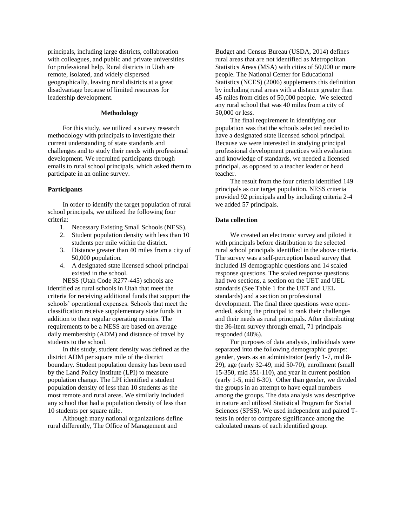principals, including large districts, collaboration with colleagues, and public and private universities for professional help. Rural districts in Utah are remote, isolated, and widely dispersed geographically, leaving rural districts at a great disadvantage because of limited resources for leadership development.

#### **Methodology**

For this study, we utilized a survey research methodology with principals to investigate their current understanding of state standards and challenges and to study their needs with professional development. We recruited participants through emails to rural school principals, which asked them to participate in an online survey.

#### **Participants**

In order to identify the target population of rural school principals, we utilized the following four criteria:

- 1. Necessary Existing Small Schools (NESS).
- 2. Student population density with less than 10 students per mile within the district.
- 3. Distance greater than 40 miles from a city of 50,000 population.
- 4. A designated state licensed school principal existed in the school.

NESS (Utah Code R277-445) schools are identified as rural schools in Utah that meet the criteria for receiving additional funds that support the schools' operational expenses. Schools that meet the classification receive supplementary state funds in addition to their regular operating monies. The requirements to be a NESS are based on average daily membership (ADM) and distance of travel by students to the school.

In this study, student density was defined as the district ADM per square mile of the district boundary. Student population density has been used by the Land Policy Institute (LPI) to measure population change. The LPI identified a student population density of less than 10 students as the most remote and rural areas. We similarly included any school that had a population density of less than 10 students per square mile.

Although many national organizations define rural differently, The Office of Management and

Budget and Census Bureau (USDA, 2014) defines rural areas that are not identified as Metropolitan Statistics Areas (MSA) with cities of 50,000 or more people. The National Center for Educational Statistics (NCES) (2006) supplements this definition by including rural areas with a distance greater than 45 miles from cities of 50,000 people. We selected any rural school that was 40 miles from a city of 50,000 or less.

The final requirement in identifying our population was that the schools selected needed to have a designated state licensed school principal. Because we were interested in studying principal professional development practices with evaluation and knowledge of standards, we needed a licensed principal, as opposed to a teacher leader or head teacher.

The result from the four criteria identified 149 principals as our target population. NESS criteria provided 92 principals and by including criteria 2-4 we added 57 principals.

### **Data collection**

We created an electronic survey and piloted it with principals before distribution to the selected rural school principals identified in the above criteria. The survey was a self-perception based survey that included 19 demographic questions and 14 scaled response questions. The scaled response questions had two sections, a section on the UET and UEL standards (See Table 1 for the UET and UEL standards) and a section on professional development. The final three questions were openended, asking the principal to rank their challenges and their needs as rural principals. After distributing the 36-item survey through email, 71 principals responded (48%).

For purposes of data analysis, individuals were separated into the following demographic groups: gender, years as an administrator (early 1-7, mid 8- 29), age (early 32-49, mid 50-70), enrollment (small 15-350, mid 351-110), and year in current position (early 1-5, mid 6-30). Other than gender, we divided the groups in an attempt to have equal numbers among the groups. The data analysis was descriptive in nature and utilized Statistical Program for Social Sciences (SPSS). We used independent and paired Ttests in order to compare significance among the calculated means of each identified group.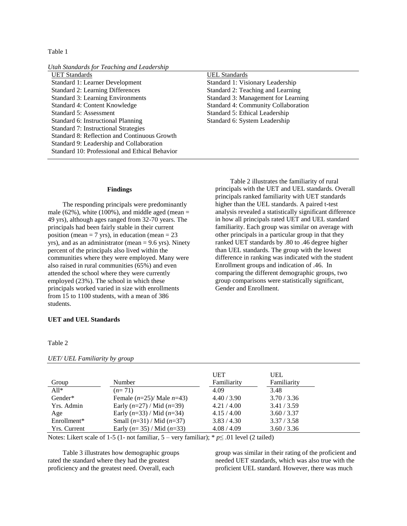Table 1

| Utah Standards for Teaching and Leadership |  |  |  |  |
|--------------------------------------------|--|--|--|--|
|                                            |  |  |  |  |

UET Standards UEL Standards Standard 1: Learner Development Standard 1: Visionary Leadership Standard 2: Learning Differences Standard 2: Teaching and Learning Standard 3: Learning Environments Standard 3: Management for Learning Standard 4: Content Knowledge Standard 4: Community Collaboration Standard 5: Assessment Standard 5: Ethical Leadership Standard 6: Instructional Planning Standard 6: System Leadership Standard 7: Instructional Strategies Standard 8: Reflection and Continuous Growth Standard 9: Leadership and Collaboration Standard 10: Professional and Ethical Behavior

#### **Findings**

The responding principals were predominantly male (62%), white (100%), and middle aged (mean  $=$ 49 yrs), although ages ranged from 32-70 years. The principals had been fairly stable in their current position (mean  $= 7$  yrs), in education (mean  $= 23$ yrs), and as an administrator (mean = 9.6 yrs). Ninety percent of the principals also lived within the communities where they were employed. Many were also raised in rural communities (65%) and even attended the school where they were currently employed (23%). The school in which these principals worked varied in size with enrollments from 15 to 1100 students, with a mean of 386 students.

#### **UET and UEL Standards**

#### Table 2

|              |                                 | <b>UET</b>  | <b>UEL</b>  |
|--------------|---------------------------------|-------------|-------------|
| Group        | Number                          | Familiarity | Familiarity |
| $A11*$       | $(n=71)$                        | 4.09        | 3.48        |
| Gender*      | Female $(n=25)$ / Male $n=43$ ) | 4.40 / 3.90 | 3.70 / 3.36 |
| Yrs. Admin   | Early $(n=27)$ / Mid $(n=39)$   | 4.21/4.00   | 3.41 / 3.59 |
| Age          | Early $(n=33)$ / Mid $(n=34)$   | 4.15/4.00   | 3.60 / 3.37 |
| Enrollment*  | Small $(n=31)$ / Mid $(n=37)$   | 3.83 / 4.30 | 3.37 / 3.58 |
| Yrs. Current | Early $(n=35)$ / Mid $(n=33)$   | 4.08 / 4.09 | 3.60 / 3.36 |

*UET/ UEL Familiarity by group*

Notes: Likert scale of 1-5 (1- not familiar,  $5$  – very familiar); \*  $p \le 0.01$  level (2 tailed)

Table 3 illustrates how demographic groups rated the standard where they had the greatest proficiency and the greatest need. Overall, each

group was similar in their rating of the proficient and needed UET standards, which was also true with the proficient UEL standard. However, there was much

Table 2 illustrates the familiarity of rural principals with the UET and UEL standards. Overall principals ranked familiarity with UET standards higher than the UEL standards. A paired t-test analysis revealed a statistically significant difference in how all principals rated UET and UEL standard familiarity. Each group was similar on average with other principals in a particular group in that they ranked UET standards by .80 to .46 degree higher than UEL standards. The group with the lowest difference in ranking was indicated with the student Enrollment groups and indication of .46. In comparing the different demographic groups, two group comparisons were statistically significant, Gender and Enrollment.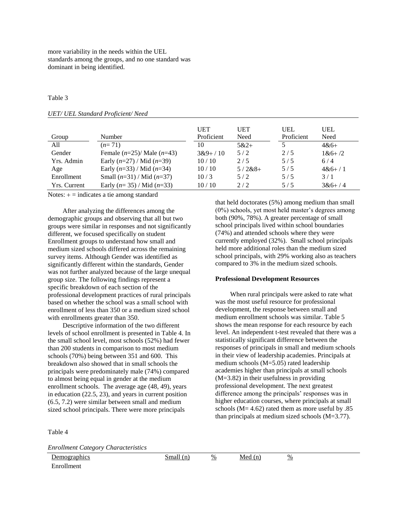more variability in the needs within the UEL standards among the groups, and no one standard was dominant in being identified.

#### Table 3

#### *UET/ UEL Standard Proficient/ Need*

|                     |                               | <b>UET</b> | <b>UET</b> | UEL        | <b>UEL</b>   |
|---------------------|-------------------------------|------------|------------|------------|--------------|
| Group               | Number                        | Proficient | Need       | Proficient | Need         |
| A11                 | $(n=71)$                      | 10         | $5&2+$     |            | $4&6+$       |
| Gender              | Female $(n=25)$ Male $(n=43)$ | $3&9+/10$  | 5/2        | 2/5        | $1 & 6 + 72$ |
| Yrs. Admin          | Early $(n=27)$ / Mid $(n=39)$ | 10/10      | 2/5        | 5/5        | 6/4          |
| Age                 | Early $(n=33)$ / Mid $(n=34)$ | 10/10      | $5/2&8+$   | 5/5        | $4&6+/1$     |
| Enrollment          | Small $(n=31)$ / Mid $(n=37)$ | 10/3       | 5/2        | 5/5        | 3/1          |
| <b>Yrs.</b> Current | Early $(n=35)$ / Mid $(n=33)$ | 10/10      | 2/2        | 5/5        | $3&6+/4$     |

Notes:  $+$  = indicates a tie among standard

After analyzing the differences among the demographic groups and observing that all but two groups were similar in responses and not significantly different, we focused specifically on student Enrollment groups to understand how small and medium sized schools differed across the remaining survey items. Although Gender was identified as significantly different within the standards, Gender was not further analyzed because of the large unequal group size. The following findings represent a specific breakdown of each section of the professional development practices of rural principals based on whether the school was a small school with enrollment of less than 350 or a medium sized school with enrollments greater than 350.

Descriptive information of the two different levels of school enrollment is presented in Table 4. In the small school level, most schools (52%) had fewer than 200 students in comparison to most medium schools (70%) being between 351 and 600. This breakdown also showed that in small schools the principals were predominately male (74%) compared to almost being equal in gender at the medium enrollment schools. The average age (48, 49), years in education (22.5, 23), and years in current position (6.5, 7.2) were similar between small and medium sized school principals. There were more principals

Table 4

Enrollment

*Enrollment Category Characteristics*

that held doctorates (5%) among medium than small (0%) schools, yet most held master's degrees among both (90%, 78%). A greater percentage of small school principals lived within school boundaries (74%) and attended schools where they were currently employed (32%). Small school principals held more additional roles than the medium sized school principals, with 29% working also as teachers compared to 3% in the medium sized schools.

#### **Professional Development Resources**

When rural principals were asked to rate what was the most useful resource for professional development, the response between small and medium enrollment schools was similar. Table 5 shows the mean response for each resource by each level. An independent t-test revealed that there was a statistically significant difference between the responses of principals in small and medium schools in their view of leadership academies. Principals at medium schools (M=5.05) rated leadership academies higher than principals at small schools (M=3.82) in their usefulness in providing professional development. The next greatest difference among the principals' responses was in higher education courses, where principals at small schools ( $M = 4.62$ ) rated them as more useful by  $.85$ than principals at medium sized schools (M=3.77).

Demographics  $Smal (n)$  % Med (n)  $\frac{\%}{\%}$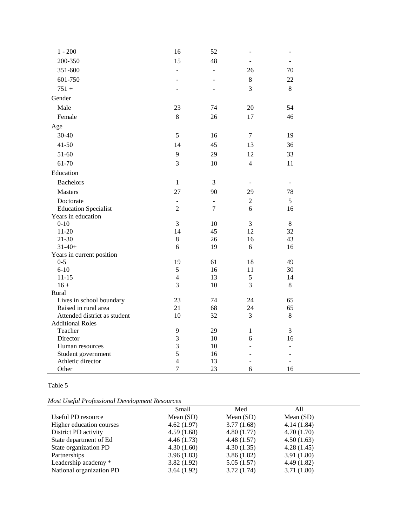| $1 - 200$                    | 16             | 52                       | $\overline{a}$ | $\overline{a}$ |  |
|------------------------------|----------------|--------------------------|----------------|----------------|--|
| 200-350                      | 15             | 48                       | ÷              |                |  |
| 351-600                      | $\overline{a}$ | $\overline{a}$           | 26             | 70             |  |
| 601-750                      | ÷              | $\overline{a}$           | $\,8\,$        | 22             |  |
| $751 +$                      | L,             |                          | 3              | $\,8\,$        |  |
| Gender                       |                |                          |                |                |  |
| Male                         | 23             | 74                       | 20             | 54             |  |
| Female                       | $\,8\,$        | 26                       | 17             | 46             |  |
| Age                          |                |                          |                |                |  |
| 30-40                        | $\sqrt{5}$     |                          | $\tau$         |                |  |
|                              |                | 16                       |                | 19             |  |
| $41 - 50$                    | 14             | 45                       | 13             | 36             |  |
| 51-60                        | 9              | 29                       | 12             | 33             |  |
| 61-70                        | 3              | 10                       | $\overline{4}$ | 11             |  |
| Education                    |                |                          |                |                |  |
| <b>Bachelors</b>             | $\mathbf{1}$   | 3                        |                |                |  |
| <b>Masters</b>               | 27             | 90                       | 29             | 78             |  |
| Doctorate                    | $\blacksquare$ | $\overline{\phantom{a}}$ | $\overline{2}$ | 5              |  |
| <b>Education Specialist</b>  | $\overline{2}$ | $\overline{7}$           | 6              | 16             |  |
| Years in education           |                |                          |                |                |  |
| $0 - 10$                     | 3              | 10                       | 3              | $\,8\,$        |  |
| $11 - 20$                    | 14             | 45                       | 12             | 32             |  |
| $21 - 30$                    | $8\,$          | 26                       | 16             | 43             |  |
| $31-40+$                     | 6              | 19                       | 6              | 16             |  |
| Years in current position    |                |                          |                |                |  |
| $0 - 5$                      | 19             | 61                       | 18             | 49             |  |
| $6 - 10$                     | $\sqrt{5}$     | 16                       | 11             | 30             |  |
| $11 - 15$                    | $\overline{4}$ | 13                       | 5              | 14             |  |
| $16 +$                       | 3              | 10                       | 3              | $\,8\,$        |  |
| Rural                        |                |                          |                |                |  |
| Lives in school boundary     | 23             | 74                       | 24             | 65             |  |
| Raised in rural area         | 21             | 68                       | 24             | 65             |  |
| Attended district as student | 10             | 32                       | 3              | $\,8\,$        |  |
| <b>Additional Roles</b>      |                |                          |                |                |  |
| Teacher                      | $\mathbf{9}$   | 29                       | $\mathbf{1}$   | 3              |  |
| Director                     | $\mathfrak{Z}$ | 10                       | 6              | 16             |  |
| Human resources              | $\mathfrak{Z}$ | 10                       |                | $\overline{a}$ |  |
| Student government           | 5              | 16                       |                |                |  |
| Athletic director            | $\overline{4}$ | 13                       |                |                |  |
| Other                        | $\overline{7}$ | 23                       | 6              | 16             |  |

### Table 5

*Most Useful Professional Development Resources*

| иом өзени і гојезмонит Бетеюртені кезоитсез |             |             |             |  |  |
|---------------------------------------------|-------------|-------------|-------------|--|--|
|                                             | Small       | Med         | All         |  |  |
| Useful PD resource                          | Mean $(SD)$ | Mean $(SD)$ | Mean $(SD)$ |  |  |
| Higher education courses                    | 4.62(1.97)  | 3.77(1.68)  | 4.14(1.84)  |  |  |
| District PD activity                        | 4.59(1.68)  | 4.80(1.77)  | 4.70(1.70)  |  |  |
| State department of Ed                      | 4.46(1.73)  | 4.48(1.57)  | 4.50(1.63)  |  |  |
| State organization PD                       | 4.30(1.60)  | 4.30(1.35)  | 4.28(1.45)  |  |  |
| Partnerships                                | 3.96(1.83)  | 3.86(1.82)  | 3.91(1.80)  |  |  |
| Leadership academy *                        | 3.82(1.92)  | 5.05(1.57)  | 4.49(1.82)  |  |  |
| National organization PD                    | 3.64(1.92)  | 3.72(1.74)  | 3.71(1.80)  |  |  |
|                                             |             |             |             |  |  |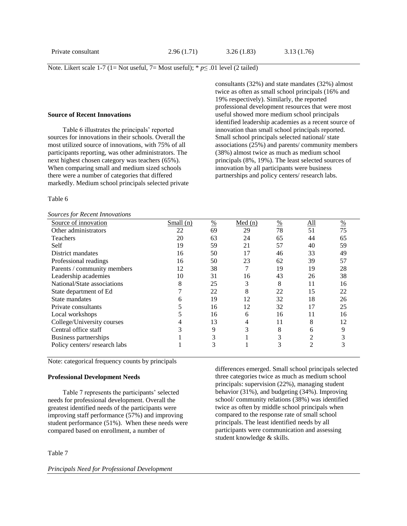Note. Likert scale 1-7 (1= Not useful, 7= Most useful); \* *p*≤ .01 level (2 tailed)

#### **Source of Recent Innovations**

Table 6 illustrates the principals' reported sources for innovations in their schools. Overall the most utilized source of innovations, with 75% of all participants reporting, was other administrators*.* The next highest chosen category was teachers (65%). When comparing small and medium sized schools there were a number of categories that differed markedly. Medium school principals selected private

#### Table 6

*Sources for Recent Innovations*

consultants (32%) and state mandates (32%) almost twice as often as small school principals (16% and 19% respectively). Similarly, the reported professional development resources that were most useful showed more medium school principals identified leadership academies as a recent source of innovation than small school principals reported. Small school principals selected national/ state associations (25%) and parents/ community members (38%) almost twice as much as medium school principals (8%, 19%). The least selected sources of innovation by all participants were business partnerships and policy centers/ research labs.

| sources for Recent Innovanons |             |               |        |    |            |               |
|-------------------------------|-------------|---------------|--------|----|------------|---------------|
| Source of innovation          | Small $(n)$ | $\frac{0}{0}$ | Med(n) | %  | <u>All</u> | $\frac{0}{0}$ |
| Other administrators          | 22          | 69            | 29     | 78 | 51         | 75            |
| Teachers                      | 20          | 63            | 24     | 65 | 44         | 65            |
| Self                          | 19          | 59            | 21     | 57 | 40         | 59            |
| District mandates             | 16          | 50            | 17     | 46 | 33         | 49            |
| Professional readings         | 16          | 50            | 23     | 62 | 39         | 57            |
| Parents / community members   | 12          | 38            | 7      | 19 | 19         | 28            |
| Leadership academies          | 10          | 31            | 16     | 43 | 26         | 38            |
| National/State associations   | 8           | 25            | 3      | 8  | 11         | 16            |
| State department of Ed        |             | 22            | 8      | 22 | 15         | 22            |
| State mandates                | h           | 19            | 12     | 32 | 18         | 26            |
| Private consultants           |             | 16            | 12     | 32 | 17         | 25            |
| Local workshops               |             | 16            | 6      | 16 | 11         | 16            |
| College/University courses    |             | 13            | 4      | 11 | 8          | 12            |
| Central office staff          |             | 9             | 3      | 8  | 6          | 9             |
| Business partnerships         |             | 3             |        | 3  | 2          |               |
| Policy centers/research labs  |             | 3             |        | 3  | 2          |               |
|                               |             |               |        |    |            |               |

Note: categorical frequency counts by principals

#### **Professional Development Needs**

Table 7 represents the participants' selected needs for professional development. Overall the greatest identified needs of the participants were improving staff performance (57%) and improving student performance (51%). When these needs were compared based on enrollment, a number of

### Table 7

differences emerged. Small school principals selected three categories twice as much as medium school principals: supervision (22%), managing student behavior (31%), and budgeting (34%). Improving school/ community relations (38%) was identified twice as often by middle school principals when compared to the response rate of small school principals. The least identified needs by all participants were communication and assessing student knowledge & skills.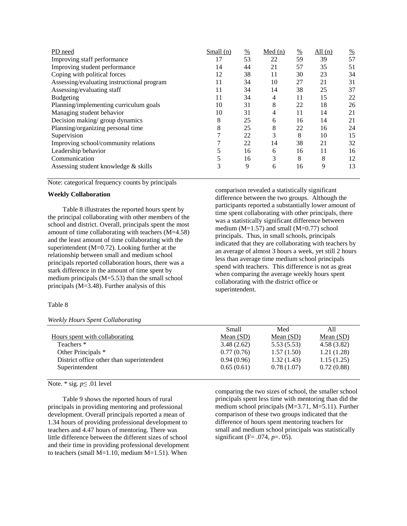| PD need                                    | Small(n) | $\frac{0}{0}$ | Med(n) | $\frac{0}{0}$ | All $(n)$ | $\frac{\%}{\ }$ |
|--------------------------------------------|----------|---------------|--------|---------------|-----------|-----------------|
| Improving staff performance                | 17       | 53            | 22     | 59            | 39        | 57              |
| Improving student performance              | 14       | 44            | 21     | 57            | 35        | 51              |
| Coping with political forces               | 12       | 38            | 11     | 30            | 23        | 34              |
| Assessing/evaluating instructional program | 11       | 34            | 10     | 27            | 21        | 31              |
| Assessing/evaluating staff                 | 11       | 34            | 14     | 38            | 25        | 37              |
| Budgeting                                  | 11       | 34            | 4      | 11            | 15        | 22              |
| Planning/implementing curriculum goals     | 10       | 31            | 8      | 22            | 18        | 26              |
| Managing student behavior                  | 10       | 31            | 4      | 11            | 14        | 21              |
| Decision making/group dynamics             | 8        | 25            | 6      | 16            | 14        | 21              |
| Planning/organizing personal time          | 8        | 25            | 8      | 22            | 16        | 24              |
| Supervision                                |          | 22            | 3      | 8             | 10        | 15              |
| Improving school/community relations       |          | 22            | 14     | 38            | 21        | 32              |
| Leadership behavior                        |          | 16            | 6      | 16            | 11        | 16              |
| Communication                              |          | 16            | 3      | 8             | 8         | 12              |
| Assessing student knowledge & skills       | 3        | 9             | 6      | 16            | 9         | 13              |

Note: categorical frequency counts by principals

#### **Weekly Collaboration**

Table 8 illustrates the reported hours spent by the principal collaborating with other members of the school and district. Overall, principals spent the most amount of time collaborating with teachers (M=4.58) and the least amount of time collaborating with the superintendent (M=0.72). Looking further at the relationship between small and medium school principals reported collaboration hours, there was a stark difference in the amount of time spent by medium principals (M=5.53) than the small school principals (M=3.48). Further analysis of this

#### Table 8

#### *Weekly Hours Spent Collaborating*

comparison revealed a statistically significant difference between the two groups. Although the participants reported a substantially lower amount of time spent collaborating with other principals, there was a statistically significant difference between medium ( $M=1.57$ ) and small ( $M=0.77$ ) school principals. Thus, in small schools, principals indicated that they are collaborating with teachers by an average of almost 3 hours a week, yet still 2 hours less than average time medium school principals spend with teachers. This difference is not as great when comparing the average weekly hours spent collaborating with the district office or superintendent.

|                                           | <b>Small</b> | Med         | All         |
|-------------------------------------------|--------------|-------------|-------------|
| Hours spent with collaborating            | Mean $(SD)$  | Mean $(SD)$ | Mean $(SD)$ |
| Teachers *                                | 3.48(2.62)   | 5.53(5.53)  | 4.58(3.82)  |
| Other Principals *                        | 0.77(0.76)   | 1.57(1.50)  | 1.21(1.28)  |
| District office other than superintendent | 0.94(0.96)   | 1.32(1.43)  | 1.15(1.25)  |
| Superintendent                            | 0.65(0.61)   | 0.78(1.07)  | 0.72(0.88)  |
|                                           |              |             |             |

#### Note. \* sig. *p*≤ .01 level

Table 9 shows the reported hours of rural principals in providing mentoring and professional development. Overall principals reported a mean of 1.34 hours of providing professional development to teachers and 4.47 hours of mentoring. There was little difference between the different sizes of school and their time in providing professional development to teachers (small M=1.10, medium M=1.51). When

comparing the two sizes of school, the smaller school principals spent less time with mentoring than did the medium school principals  $(M=3.71, M=5.11)$ . Further comparison of these two groups indicated that the difference of hours spent mentoring teachers for small and medium school principals was statistically significant (F= .074, *p*=. 05).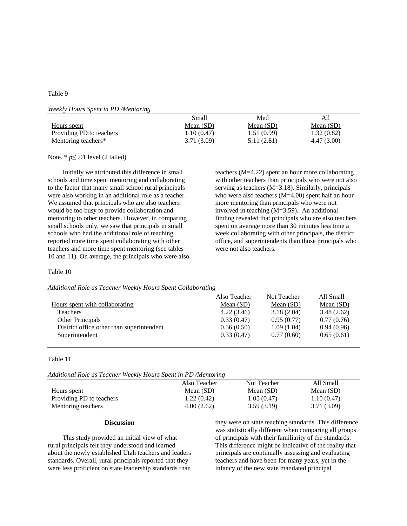#### Table 9

*Weekly Hours Spent in PD /Mentoring*

|                          | Small       | Med         | A11         |
|--------------------------|-------------|-------------|-------------|
| Hours spent              | Mean $(SD)$ | Mean $(SD)$ | Mean $(SD)$ |
| Providing PD to teachers | 1.10(0.47)  | 1.51(0.99)  | 1.32(0.82)  |
| Mentoring teachers*      | 3.71(3.09)  | 5.11(2.81)  | 4.47(3.00)  |

### Note. \* *p*≤ .01 level (2 tailed)

Initially we attributed this difference in small schools and time spent mentoring and collaborating to the factor that many small school rural principals were also working in an additional role as a teacher. We assumed that principals who are also teachers would be too busy to provide collaboration and mentoring to other teachers. However, in comparing small schools only, we saw that principals in small schools who had the additional role of teaching reported more time spent collaborating with other teachers and more time spent mentoring (see tables 10 and 11). On average, the principals who were also teachers (M=4.22) spent an hour more collaborating with other teachers than principals who were not also serving as teachers (M=3.18). Similarly, principals who were also teachers (M=4.00) spent half an hour more mentoring than principals who were not involved in teaching (M=3.59). An additional finding revealed that principals who are also teachers spent on average more than 30 minutes less time a week collaborating with other principals, the district office, and superintendents than those principals who were not also teachers.

#### Table 10

#### *Additional Role as Teacher Weekly Hours Spent Collaborating*

|                                           | Also Teacher | Not Teacher | All Small   |
|-------------------------------------------|--------------|-------------|-------------|
| Hours spent with collaborating            | Mean $(SD)$  | Mean $(SD)$ | Mean $(SD)$ |
| <b>Teachers</b>                           | 4.22(3.46)   | 3.18(2.04)  | 3.48(2.62)  |
| Other Principals                          | 0.33(0.47)   | 0.95(0.77)  | 0.77(0.76)  |
| District office other than superintendent | 0.56(0.50)   | 1.09(1.04)  | 0.94(0.96)  |
| Superintendent                            | 0.33(0.47)   | 0.77(0.60)  | 0.65(0.61)  |

#### Table 11

| Additional Role as Teacher Weekly Hours Spent in PD /Mentoring |  |  |
|----------------------------------------------------------------|--|--|
|----------------------------------------------------------------|--|--|

|                          | Also Teacher | Not Teacher | All Small   |
|--------------------------|--------------|-------------|-------------|
| Hours spent              | Mean $(SD)$  | Mean $(SD)$ | Mean $(SD)$ |
| Providing PD to teachers | 1.22(0.42)   | 1.05(0.47)  | 1.10(0.47)  |
| Mentoring teachers       | 4.00(2.62)   | 3.59(3.19)  | 3.71 (3.09) |

#### **Discussion**

This study provided an initial view of what rural principals felt they understood and learned about the newly established Utah teachers and leaders standards. Overall, rural principals reported that they were less proficient on state leadership standards than they were on state teaching standards. This difference was statistically different when comparing all groups of principals with their familiarity of the standards. This difference might be indicative of the reality that principals are continually assessing and evaluating teachers and have been for many years, yet in the infancy of the new state mandated principal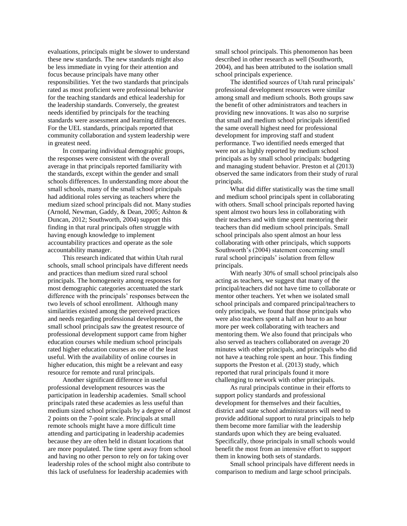evaluations, principals might be slower to understand these new standards. The new standards might also be less immediate in vying for their attention and focus because principals have many other responsibilities. Yet the two standards that principals rated as most proficient were professional behavior for the teaching standards and ethical leadership for the leadership standards. Conversely, the greatest needs identified by principals for the teaching standards were assessment and learning differences. For the UEL standards, principals reported that community collaboration and system leadership were in greatest need.

In comparing individual demographic groups, the responses were consistent with the overall average in that principals reported familiarity with the standards, except within the gender and small schools differences. In understanding more about the small schools, many of the small school principals had additional roles serving as teachers where the medium sized school principals did not. Many studies [\(Arnold, Newman, Gaddy, & Dean, 2005;](file:///C:/Users/Shane/Desktop/Rural%20Ed%20Stewart%202015%20-%20Copy(1).docx%23_ENREF_1) [Ashton &](file:///C:/Users/Shane/Desktop/Rural%20Ed%20Stewart%202015%20-%20Copy(1).docx%23_ENREF_2)  [Duncan, 2012;](file:///C:/Users/Shane/Desktop/Rural%20Ed%20Stewart%202015%20-%20Copy(1).docx%23_ENREF_2) [Southworth, 2004\)](file:///C:/Users/Shane/Desktop/Rural%20Ed%20Stewart%202015%20-%20Copy(1).docx%23_ENREF_20) support this finding in that rural principals often struggle with having enough knowledge to implement accountability practices and operate as the sole accountability manager.

This research indicated that within Utah rural schools, small school principals have different needs and practices than medium sized rural school principals. The homogeneity among responses for most demographic categories accentuated the stark difference with the principals' responses between the two levels of school enrollment. Although many similarities existed among the perceived practices and needs regarding professional development, the small school principals saw the greatest resource of professional development support came from higher education courses while medium school principals rated higher education courses as one of the least useful. With the availability of online courses in higher education, this might be a relevant and easy resource for remote and rural principals.

Another significant difference in useful professional development resources was the participation in leadership academies. Small school principals rated these academies as less useful than medium sized school principals by a degree of almost 2 points on the 7-point scale. Principals at small remote schools might have a more difficult time attending and participating in leadership academies because they are often held in distant locations that are more populated. The time spent away from school and having no other person to rely on for taking over leadership roles of the school might also contribute to this lack of usefulness for leadership academies with

small school principals. This phenomenon has been described in other research as well [\(Southworth,](file:///C:/Users/Shane/Desktop/Rural%20Ed%20Stewart%202015%20-%20Copy(1).docx%23_ENREF_20)  [2004\)](file:///C:/Users/Shane/Desktop/Rural%20Ed%20Stewart%202015%20-%20Copy(1).docx%23_ENREF_20), and has been attributed to the isolation small school principals experience.

The identified sources of Utah rural principals' professional development resources were similar among small and medium schools. Both groups saw the benefit of other administrators and teachers in providing new innovations. It was also no surprise that small and medium school principals identified the same overall highest need for professional development for improving staff and student performance. Two identified needs emerged that were not as highly reported by medium school principals as by small school principals: budgeting and managing student behavior. Preston et al (2013) observed the same indicators from their study of rural principals.

What did differ statistically was the time small and medium school principals spent in collaborating with others. Small school principals reported having spent almost two hours less in collaborating with their teachers and with time spent mentoring their teachers than did medium school principals. Small school principals also spent almost an hour less collaborating with other principals, which supports Southworth's (2004) statement concerning small rural school principals' isolation from fellow principals.

With nearly 30% of small school principals also acting as teachers, we suggest that many of the principal/teachers did not have time to collaborate or mentor other teachers. Yet when we isolated small school principals and compared principal/teachers to only principals, we found that those principals who were also teachers spent a half an hour to an hour more per week collaborating with teachers and mentoring them. We also found that principals who also served as teachers collaborated on average 20 minutes with other principals, and principals who did not have a teaching role spent an hour. This finding supports the Preston et al. (2013) study, which reported that rural principals found it more challenging to network with other principals.

As rural principals continue in their efforts to support policy standards and professional development for themselves and their faculties, district and state school administrators will need to provide additional support to rural principals to help them become more familiar with the leadership standards upon which they are being evaluated. Specifically, those principals in small schools would benefit the most from an intensive effort to support them in knowing both sets of standards.

Small school principals have different needs in comparison to medium and large school principals.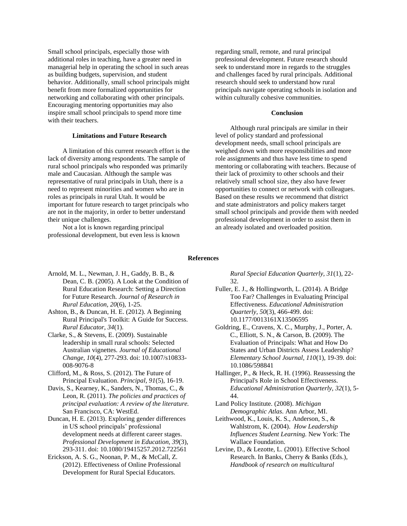Small school principals, especially those with additional roles in teaching, have a greater need in managerial help in operating the school in such areas as building budgets, supervision, and student behavior. Additionally, small school principals might benefit from more formalized opportunities for networking and collaborating with other principals. Encouraging mentoring opportunities may also inspire small school principals to spend more time with their teachers.

#### **Limitations and Future Research**

A limitation of this current research effort is the lack of diversity among respondents. The sample of rural school principals who responded was primarily male and Caucasian. Although the sample was representative of rural principals in Utah, there is a need to represent minorities and women who are in roles as principals in rural Utah. It would be important for future research to target principals who are not in the majority, in order to better understand their unique challenges.

Not a lot is known regarding principal professional development, but even less is known regarding small, remote, and rural principal professional development. Future research should seek to understand more in regards to the struggles and challenges faced by rural principals. Additional research should seek to understand how rural principals navigate operating schools in isolation and within culturally cohesive communities.

#### **Conclusion**

Although rural principals are similar in their level of policy standard and professional development needs, small school principals are weighed down with more responsibilities and more role assignments and thus have less time to spend mentoring or collaborating with teachers. Because of their lack of proximity to other schools and their relatively small school size, they also have fewer opportunities to connect or network with colleagues. Based on these results we recommend that district and state administrators and policy makers target small school principals and provide them with needed professional development in order to assist them in an already isolated and overloaded position.

#### **References**

- Arnold, M. L., Newman, J. H., Gaddy, B. B., & Dean, C. B. (2005). A Look at the Condition of Rural Education Research: Setting a Direction for Future Research. *Journal of Research in Rural Education, 20*(6), 1-25.
- Ashton, B., & Duncan, H. E. (2012). A Beginning Rural Principal's Toolkit: A Guide for Success. *Rural Educator, 34*(1).
- Clarke, S., & Stevens, E. (2009). Sustainable leadership in small rural schools: Selected Australian vignettes. *Journal of Educational Change, 10*(4), 277-293. doi: 10.1007/s10833- 008-9076-8
- Clifford, M., & Ross, S. (2012). The Future of Principal Evaluation. *Principal, 91*(5), 16-19.
- Davis, S., Kearney, K., Sanders, N., Thomas, C., & Leon, R. (2011). *The policies and practices of principal evaluation: A review of the literature.* San Francisco, CA: WestEd.
- Duncan, H. E. (2013). Exploring gender differences in US school principals' professional development needs at different career stages. *Professional Development in Education, 39*(3), 293-311. doi: 10.1080/19415257.2012.722561
- Erickson, A. S. G., Noonan, P. M., & McCall, Z. (2012). Effectiveness of Online Professional Development for Rural Special Educators.

*Rural Special Education Quarterly, 31*(1), 22- 32.

- Fuller, E. J., & Hollingworth, L. (2014). A Bridge Too Far? Challenges in Evaluating Principal Effectiveness. *Educational Administration Quarterly, 50*(3), 466-499. doi: 10.1177/0013161X13506595
- Goldring, E., Cravens, X. C., Murphy, J., Porter, A. C., Elliott, S. N., & Carson, B. (2009). The Evaluation of Principals: What and How Do States and Urban Districts Assess Leadership? *Elementary School Journal, 110*(1), 19-39. doi: 10.1086/598841
- Hallinger, P., & Heck, R. H. (1996). Reassessing the Principal's Role in School Effectiveness. *Educational Administration Quarterly, 32*(1), 5- 44.
- Land Policy Institute. (2008). *Michigan Demographic Atlas*. Ann Arbor, MI.
- Leithwood, K., Louis, K. S., Anderson, S., & Wahlstrom, K. (2004). *How Leadership Influences Student Learning.* New York: The Wallace Foundation.
- Levine, D., & Lezotte, L. (2001). Effective School Research. In Banks, Cherry & Banks (Eds.), *Handbook of research on multicultural*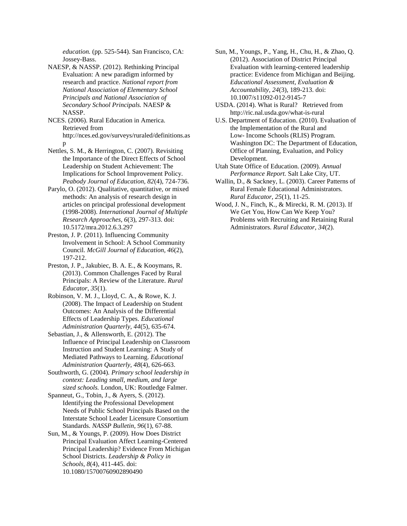*education.* (pp. 525-544). San Francisco, CA: Jossey-Bass.

NAESP, & NASSP. (2012). Rethinking Principal Evaluation: A new paradigm informed by research and practice. *National report from National Association of Elementary School Principals and National Association of Secondary School Principals.* NAESP & NASSP.

NCES. (2006). Rural Education in America. Retrieved from [http://nces.ed.gov/surveys/ruraled/definitions.as](http://nces.ed.gov/surveys/ruraled/definitions.asp) [p](http://nces.ed.gov/surveys/ruraled/definitions.asp)

- Nettles, S. M., & Herrington, C. (2007). Revisiting the Importance of the Direct Effects of School Leadership on Student Achievement: The Implications for School Improvement Policy. *Peabody Journal of Education, 82*(4), 724-736.
- Parylo, O. (2012). Qualitative, quantitative, or mixed methods: An analysis of research design in articles on principal professional development (1998-2008). *International Journal of Multiple Research Approaches, 6*(3), 297-313. doi: 10.5172/mra.2012.6.3.297
- Preston, J. P. (2011). Influencing Community Involvement in School: A School Community Council. *McGill Journal of Education, 46*(2), 197-212.
- Preston, J. P., Jakubiec, B. A. E., & Kooymans, R. (2013). Common Challenges Faced by Rural Principals: A Review of the Literature. *Rural Educator, 35*(1).
- Robinson, V. M. J., Lloyd, C. A., & Rowe, K. J. (2008). The Impact of Leadership on Student Outcomes: An Analysis of the Differential Effects of Leadership Types. *Educational Administration Quarterly, 44*(5), 635-674.
- Sebastian, J., & Allensworth, E. (2012). The Influence of Principal Leadership on Classroom Instruction and Student Learning: A Study of Mediated Pathways to Learning. *Educational Administration Quarterly, 48*(4), 626-663.
- Southworth, G. (2004). *Primary school leadership in context: Leading small, medium, and large sized schools.* London, UK: Routledge Falmer.

Spanneut, G., Tobin, J., & Ayers, S. (2012). Identifying the Professional Development Needs of Public School Principals Based on the Interstate School Leader Licensure Consortium Standards. *NASSP Bulletin, 96*(1), 67-88.

Sun, M., & Youngs, P. (2009). How Does District Principal Evaluation Affect Learning-Centered Principal Leadership? Evidence From Michigan School Districts. *Leadership & Policy in Schools, 8*(4), 411-445. doi: 10.1080/15700760902890490

- Sun, M., Youngs, P., Yang, H., Chu, H., & Zhao, Q. (2012). Association of District Principal Evaluation with learning-centered leadership practice: Evidence from Michigan and Beijing. *Educational Assessment, Evaluation & Accountability, 24*(3), 189-213. doi: 10.1007/s11092-012-9145-7
- USDA. (2014). What is Rural? Retrieved from <http://ric.nal.usda.gov/what-is-rural>
- U.S. Department of Education. (2010). Evaluation of the Implementation of the Rural and Low- Income Schools (RLIS) Program. Washington DC: The Department of Education, Office of Planning, Evaluation, and Policy Development.
- Utah State Office of Education. (2009). *Annual Performance Report.* Salt Lake City, UT.
- Wallin, D., & Sackney, L. (2003). Career Patterns of Rural Female Educational Administrators. *Rural Educator, 25*(1), 11-25.
- Wood, J. N., Finch, K., & Mirecki, R. M. (2013). If We Get You, How Can We Keep You? Problems with Recruiting and Retaining Rural Administrators. *Rural Educator, 34*(2).